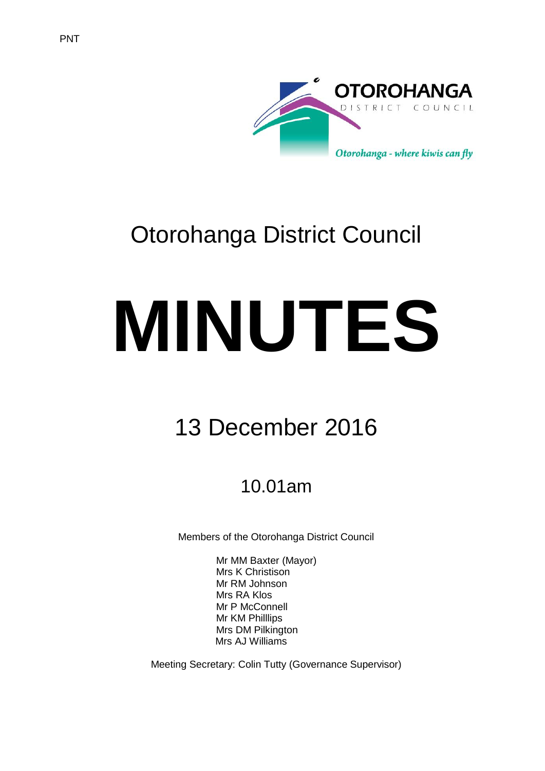



# Otorohanga District Council

# **MINUTES**

# 13 December 2016

## 10.01am

Members of the Otorohanga District Council

Mr MM Baxter (Mayor) Mrs K Christison Mr RM Johnson Mrs RA Klos Mr P McConnell Mr KM Philllips Mrs DM Pilkington Mrs AJ Williams

Meeting Secretary: Colin Tutty (Governance Supervisor)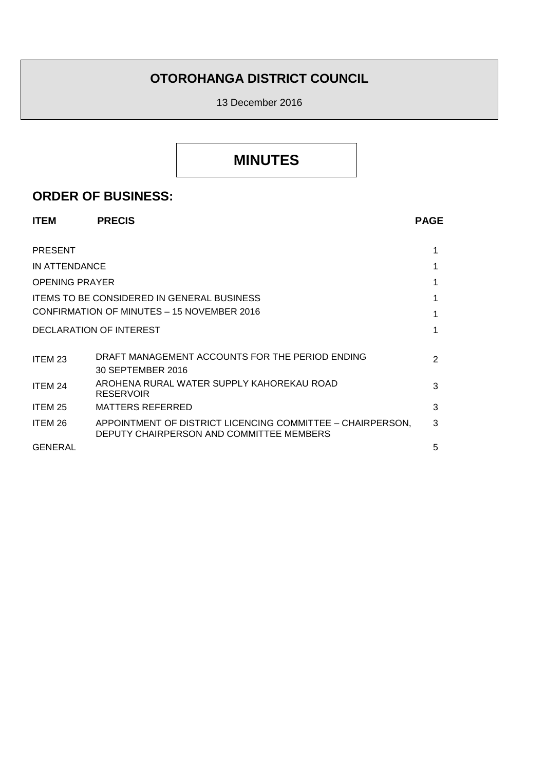## **OTOROHANGA DISTRICT COUNCIL**

13 December 2016

## **MINUTES**

### **ORDER OF BUSINESS:**

| <b>ITEM</b>           | <b>PRECIS</b>                                                                                          | <b>PAGE</b>   |
|-----------------------|--------------------------------------------------------------------------------------------------------|---------------|
| <b>PRESENT</b>        |                                                                                                        |               |
| IN ATTENDANCE         |                                                                                                        |               |
| <b>OPENING PRAYER</b> |                                                                                                        |               |
|                       | <b>ITEMS TO BE CONSIDERED IN GENERAL BUSINESS</b>                                                      |               |
|                       | CONFIRMATION OF MINUTES - 15 NOVEMBER 2016                                                             |               |
|                       | DECLARATION OF INTEREST                                                                                |               |
| ITEM 23               | DRAFT MANAGEMENT ACCOUNTS FOR THE PERIOD ENDING<br>30 SEPTEMBER 2016                                   | $\mathcal{P}$ |
| ITEM 24               | AROHENA RURAL WATER SUPPLY KAHOREKAU ROAD<br><b>RESERVOIR</b>                                          | 3             |
| ITEM 25               | <b>MATTERS REFERRED</b>                                                                                | 3             |
| ITEM 26               | APPOINTMENT OF DISTRICT LICENCING COMMITTEE - CHAIRPERSON,<br>DEPUTY CHAIRPERSON AND COMMITTEE MEMBERS | 3             |
| <b>GENERAL</b>        |                                                                                                        | 5             |
|                       |                                                                                                        |               |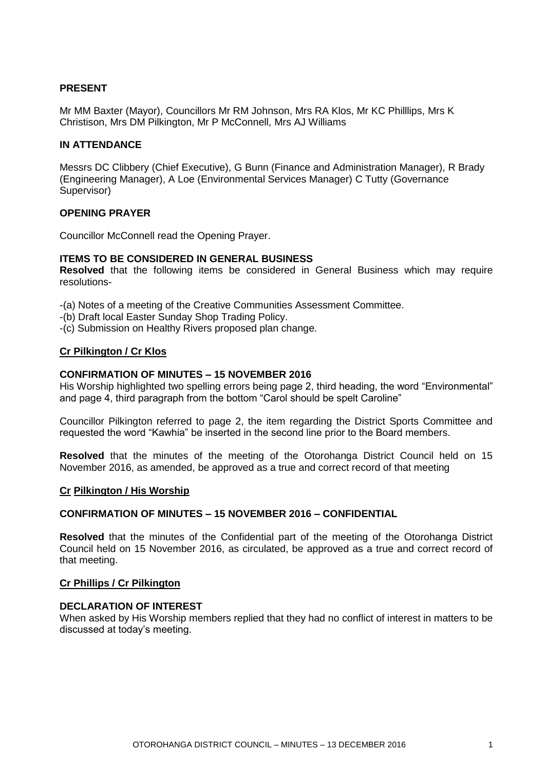#### **PRESENT**

Mr MM Baxter (Mayor), Councillors Mr RM Johnson, Mrs RA Klos, Mr KC Philllips, Mrs K Christison, Mrs DM Pilkington, Mr P McConnell, Mrs AJ Williams

#### **IN ATTENDANCE**

Messrs DC Clibbery (Chief Executive), G Bunn (Finance and Administration Manager), R Brady (Engineering Manager), A Loe (Environmental Services Manager) C Tutty (Governance Supervisor)

#### **OPENING PRAYER**

Councillor McConnell read the Opening Prayer.

#### **ITEMS TO BE CONSIDERED IN GENERAL BUSINESS**

**Resolved** that the following items be considered in General Business which may require resolutions-

-(a) Notes of a meeting of the Creative Communities Assessment Committee.

- -(b) Draft local Easter Sunday Shop Trading Policy.
- -(c) Submission on Healthy Rivers proposed plan change.

#### **Cr Pilkington / Cr Klos**

#### **CONFIRMATION OF MINUTES – 15 NOVEMBER 2016**

His Worship highlighted two spelling errors being page 2, third heading, the word "Environmental" and page 4, third paragraph from the bottom "Carol should be spelt Caroline"

Councillor Pilkington referred to page 2, the item regarding the District Sports Committee and requested the word "Kawhia" be inserted in the second line prior to the Board members.

**Resolved** that the minutes of the meeting of the Otorohanga District Council held on 15 November 2016, as amended, be approved as a true and correct record of that meeting

#### **Cr Pilkington / His Worship**

#### **CONFIRMATION OF MINUTES – 15 NOVEMBER 2016 – CONFIDENTIAL**

**Resolved** that the minutes of the Confidential part of the meeting of the Otorohanga District Council held on 15 November 2016, as circulated, be approved as a true and correct record of that meeting.

#### **Cr Phillips / Cr Pilkington**

#### **DECLARATION OF INTEREST**

When asked by His Worship members replied that they had no conflict of interest in matters to be discussed at today's meeting.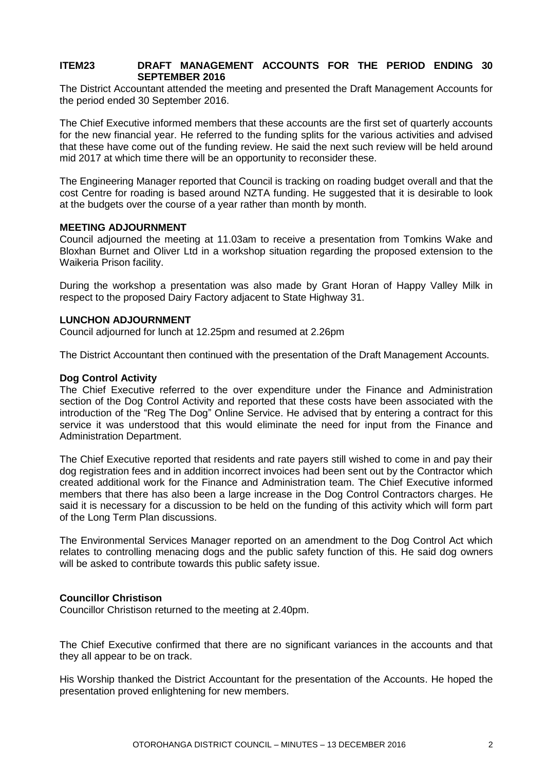#### **ITEM23 DRAFT MANAGEMENT ACCOUNTS FOR THE PERIOD ENDING 30 SEPTEMBER 2016**

The District Accountant attended the meeting and presented the Draft Management Accounts for the period ended 30 September 2016.

The Chief Executive informed members that these accounts are the first set of quarterly accounts for the new financial year. He referred to the funding splits for the various activities and advised that these have come out of the funding review. He said the next such review will be held around mid 2017 at which time there will be an opportunity to reconsider these.

The Engineering Manager reported that Council is tracking on roading budget overall and that the cost Centre for roading is based around NZTA funding. He suggested that it is desirable to look at the budgets over the course of a year rather than month by month.

#### **MEETING ADJOURNMENT**

Council adjourned the meeting at 11.03am to receive a presentation from Tomkins Wake and Bloxhan Burnet and Oliver Ltd in a workshop situation regarding the proposed extension to the Waikeria Prison facility.

During the workshop a presentation was also made by Grant Horan of Happy Valley Milk in respect to the proposed Dairy Factory adjacent to State Highway 31.

#### **LUNCHON ADJOURNMENT**

Council adjourned for lunch at 12.25pm and resumed at 2.26pm

The District Accountant then continued with the presentation of the Draft Management Accounts.

#### **Dog Control Activity**

The Chief Executive referred to the over expenditure under the Finance and Administration section of the Dog Control Activity and reported that these costs have been associated with the introduction of the "Reg The Dog" Online Service. He advised that by entering a contract for this service it was understood that this would eliminate the need for input from the Finance and Administration Department.

The Chief Executive reported that residents and rate payers still wished to come in and pay their dog registration fees and in addition incorrect invoices had been sent out by the Contractor which created additional work for the Finance and Administration team. The Chief Executive informed members that there has also been a large increase in the Dog Control Contractors charges. He said it is necessary for a discussion to be held on the funding of this activity which will form part of the Long Term Plan discussions.

The Environmental Services Manager reported on an amendment to the Dog Control Act which relates to controlling menacing dogs and the public safety function of this. He said dog owners will be asked to contribute towards this public safety issue.

#### **Councillor Christison**

Councillor Christison returned to the meeting at 2.40pm.

The Chief Executive confirmed that there are no significant variances in the accounts and that they all appear to be on track.

His Worship thanked the District Accountant for the presentation of the Accounts. He hoped the presentation proved enlightening for new members.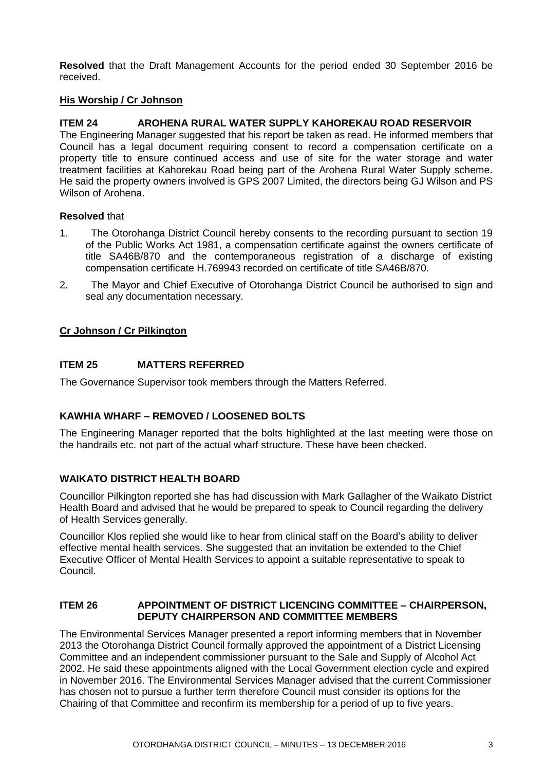**Resolved** that the Draft Management Accounts for the period ended 30 September 2016 be received.

#### **His Worship / Cr Johnson**

#### **ITEM 24 AROHENA RURAL WATER SUPPLY KAHOREKAU ROAD RESERVOIR**

The Engineering Manager suggested that his report be taken as read. He informed members that Council has a legal document requiring consent to record a compensation certificate on a property title to ensure continued access and use of site for the water storage and water treatment facilities at Kahorekau Road being part of the Arohena Rural Water Supply scheme. He said the property owners involved is GPS 2007 Limited, the directors being GJ Wilson and PS Wilson of Arohena.

#### **Resolved** that

- 1. The Otorohanga District Council hereby consents to the recording pursuant to section 19 of the Public Works Act 1981, a compensation certificate against the owners certificate of title SA46B/870 and the contemporaneous registration of a discharge of existing compensation certificate H.769943 recorded on certificate of title SA46B/870.
- 2. The Mayor and Chief Executive of Otorohanga District Council be authorised to sign and seal any documentation necessary.

#### **Cr Johnson / Cr Pilkington**

#### **ITEM 25 MATTERS REFERRED**

The Governance Supervisor took members through the Matters Referred.

#### **KAWHIA WHARF – REMOVED / LOOSENED BOLTS**

The Engineering Manager reported that the bolts highlighted at the last meeting were those on the handrails etc. not part of the actual wharf structure. These have been checked.

#### **WAIKATO DISTRICT HEALTH BOARD**

Councillor Pilkington reported she has had discussion with Mark Gallagher of the Waikato District Health Board and advised that he would be prepared to speak to Council regarding the delivery of Health Services generally.

Councillor Klos replied she would like to hear from clinical staff on the Board's ability to deliver effective mental health services. She suggested that an invitation be extended to the Chief Executive Officer of Mental Health Services to appoint a suitable representative to speak to Council.

#### **ITEM 26 APPOINTMENT OF DISTRICT LICENCING COMMITTEE – CHAIRPERSON, DEPUTY CHAIRPERSON AND COMMITTEE MEMBERS**

The Environmental Services Manager presented a report informing members that in November 2013 the Otorohanga District Council formally approved the appointment of a District Licensing Committee and an independent commissioner pursuant to the Sale and Supply of Alcohol Act 2002. He said these appointments aligned with the Local Government election cycle and expired in November 2016. The Environmental Services Manager advised that the current Commissioner has chosen not to pursue a further term therefore Council must consider its options for the Chairing of that Committee and reconfirm its membership for a period of up to five years.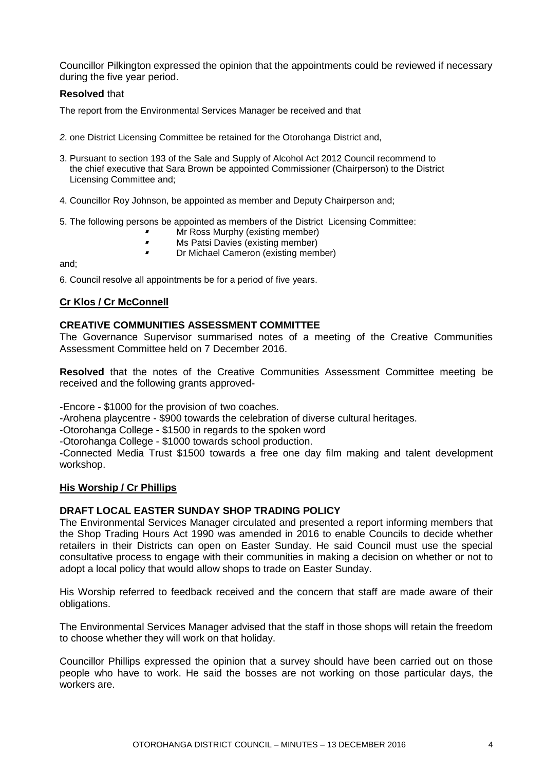Councillor Pilkington expressed the opinion that the appointments could be reviewed if necessary during the five year period.

#### **Resolved** that

The report from the Environmental Services Manager be received and that

- *2*. one District Licensing Committee be retained for the Otorohanga District and,
- 3. Pursuant to section 193 of the Sale and Supply of Alcohol Act 2012 Council recommend to the chief executive that Sara Brown be appointed Commissioner (Chairperson) to the District Licensing Committee and;
- 4. Councillor Roy Johnson, be appointed as member and Deputy Chairperson and;
- 5. The following persons be appointed as members of the District Licensing Committee:
	- ı Mr Ross Murphy (existing member)
	- $\blacksquare$ Ms Patsi Davies (existing member)
	- $\blacksquare$ Dr Michael Cameron (existing member)

and;

6. Council resolve all appointments be for a period of five years.

#### **Cr Klos / Cr McConnell**

#### **CREATIVE COMMUNITIES ASSESSMENT COMMITTEE**

The Governance Supervisor summarised notes of a meeting of the Creative Communities Assessment Committee held on 7 December 2016.

**Resolved** that the notes of the Creative Communities Assessment Committee meeting be received and the following grants approved-

-Encore - \$1000 for the provision of two coaches.

-Arohena playcentre - \$900 towards the celebration of diverse cultural heritages.

-Otorohanga College - \$1500 in regards to the spoken word

-Otorohanga College - \$1000 towards school production.

-Connected Media Trust \$1500 towards a free one day film making and talent development workshop.

#### **His Worship / Cr Phillips**

#### **DRAFT LOCAL EASTER SUNDAY SHOP TRADING POLICY**

The Environmental Services Manager circulated and presented a report informing members that the Shop Trading Hours Act 1990 was amended in 2016 to enable Councils to decide whether retailers in their Districts can open on Easter Sunday. He said Council must use the special consultative process to engage with their communities in making a decision on whether or not to adopt a local policy that would allow shops to trade on Easter Sunday.

His Worship referred to feedback received and the concern that staff are made aware of their obligations.

The Environmental Services Manager advised that the staff in those shops will retain the freedom to choose whether they will work on that holiday.

Councillor Phillips expressed the opinion that a survey should have been carried out on those people who have to work. He said the bosses are not working on those particular days, the workers are.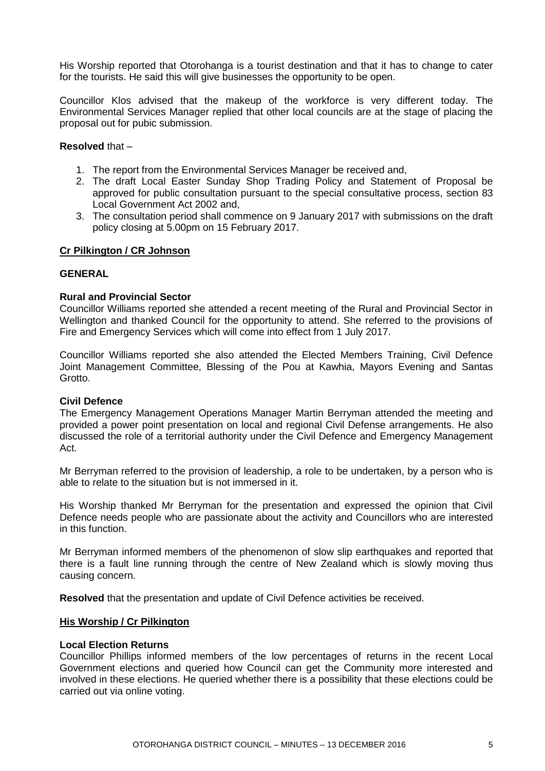His Worship reported that Otorohanga is a tourist destination and that it has to change to cater for the tourists. He said this will give businesses the opportunity to be open.

Councillor Klos advised that the makeup of the workforce is very different today. The Environmental Services Manager replied that other local councils are at the stage of placing the proposal out for pubic submission.

#### **Resolved** that –

- 1. The report from the Environmental Services Manager be received and,
- 2. The draft Local Easter Sunday Shop Trading Policy and Statement of Proposal be approved for public consultation pursuant to the special consultative process, section 83 Local Government Act 2002 and,
- 3. The consultation period shall commence on 9 January 2017 with submissions on the draft policy closing at 5.00pm on 15 February 2017.

#### **Cr Pilkington / CR Johnson**

#### **GENERAL**

#### **Rural and Provincial Sector**

Councillor Williams reported she attended a recent meeting of the Rural and Provincial Sector in Wellington and thanked Council for the opportunity to attend. She referred to the provisions of Fire and Emergency Services which will come into effect from 1 July 2017.

Councillor Williams reported she also attended the Elected Members Training, Civil Defence Joint Management Committee, Blessing of the Pou at Kawhia, Mayors Evening and Santas Grotto.

#### **Civil Defence**

The Emergency Management Operations Manager Martin Berryman attended the meeting and provided a power point presentation on local and regional Civil Defense arrangements. He also discussed the role of a territorial authority under the Civil Defence and Emergency Management Act.

Mr Berryman referred to the provision of leadership, a role to be undertaken, by a person who is able to relate to the situation but is not immersed in it.

His Worship thanked Mr Berryman for the presentation and expressed the opinion that Civil Defence needs people who are passionate about the activity and Councillors who are interested in this function.

Mr Berryman informed members of the phenomenon of slow slip earthquakes and reported that there is a fault line running through the centre of New Zealand which is slowly moving thus causing concern.

**Resolved** that the presentation and update of Civil Defence activities be received.

#### **His Worship / Cr Pilkington**

#### **Local Election Returns**

Councillor Phillips informed members of the low percentages of returns in the recent Local Government elections and queried how Council can get the Community more interested and involved in these elections. He queried whether there is a possibility that these elections could be carried out via online voting.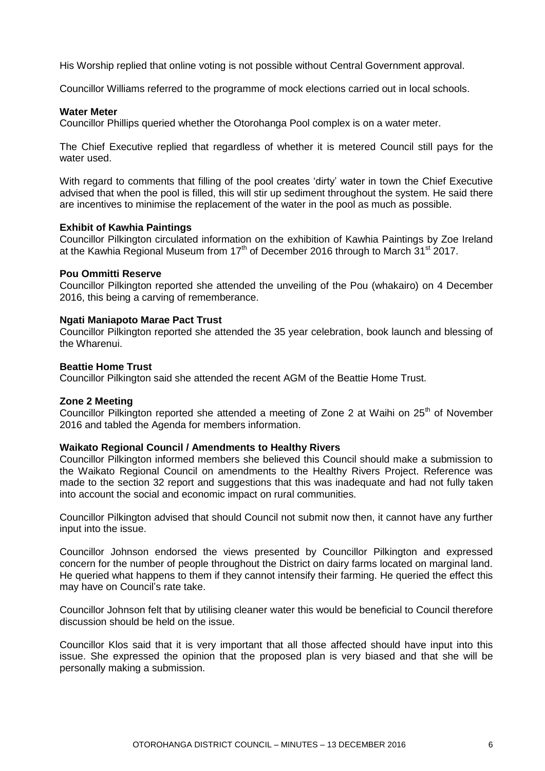His Worship replied that online voting is not possible without Central Government approval.

Councillor Williams referred to the programme of mock elections carried out in local schools.

#### **Water Meter**

Councillor Phillips queried whether the Otorohanga Pool complex is on a water meter.

The Chief Executive replied that regardless of whether it is metered Council still pays for the water used.

With regard to comments that filling of the pool creates 'dirty' water in town the Chief Executive advised that when the pool is filled, this will stir up sediment throughout the system. He said there are incentives to minimise the replacement of the water in the pool as much as possible.

#### **Exhibit of Kawhia Paintings**

Councillor Pilkington circulated information on the exhibition of Kawhia Paintings by Zoe Ireland at the Kawhia Regional Museum from  $17<sup>th</sup>$  of December 2016 through to March  $31<sup>st</sup>$  2017.

#### **Pou Ommitti Reserve**

Councillor Pilkington reported she attended the unveiling of the Pou (whakairo) on 4 December 2016, this being a carving of rememberance.

#### **Ngati Maniapoto Marae Pact Trust**

Councillor Pilkington reported she attended the 35 year celebration, book launch and blessing of the Wharenui.

#### **Beattie Home Trust**

Councillor Pilkington said she attended the recent AGM of the Beattie Home Trust.

#### **Zone 2 Meeting**

Councillor Pilkington reported she attended a meeting of Zone 2 at Waihi on  $25<sup>th</sup>$  of November 2016 and tabled the Agenda for members information.

#### **Waikato Regional Council / Amendments to Healthy Rivers**

Councillor Pilkington informed members she believed this Council should make a submission to the Waikato Regional Council on amendments to the Healthy Rivers Project. Reference was made to the section 32 report and suggestions that this was inadequate and had not fully taken into account the social and economic impact on rural communities.

Councillor Pilkington advised that should Council not submit now then, it cannot have any further input into the issue.

Councillor Johnson endorsed the views presented by Councillor Pilkington and expressed concern for the number of people throughout the District on dairy farms located on marginal land. He queried what happens to them if they cannot intensify their farming. He queried the effect this may have on Council's rate take.

Councillor Johnson felt that by utilising cleaner water this would be beneficial to Council therefore discussion should be held on the issue.

Councillor Klos said that it is very important that all those affected should have input into this issue. She expressed the opinion that the proposed plan is very biased and that she will be personally making a submission.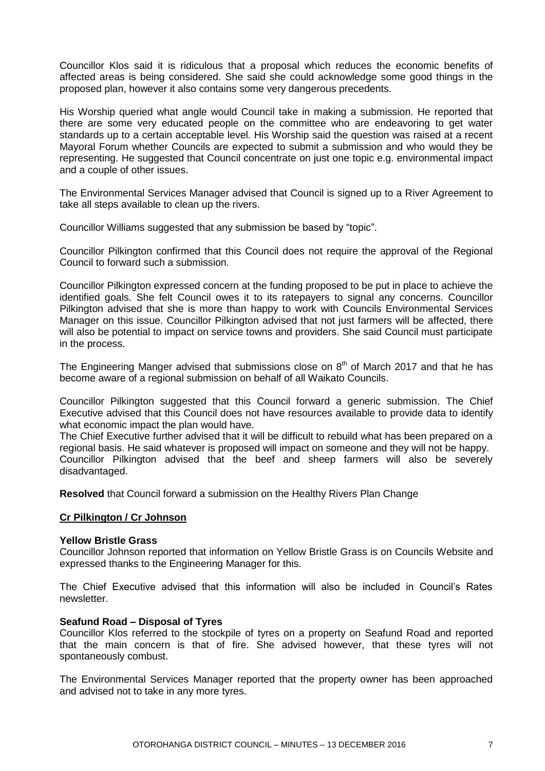Councillor Klos said it is ridiculous that a proposal which reduces the economic benefits of affected areas is being considered. She said she could acknowledge some good things in the proposed plan, however it also contains some very dangerous precedents.

His Worship queried what angle would Council take in making a submission. He reported that there are some very educated people on the committee who are endeavoring to get water standards up to a certain acceptable level. His Worship said the question was raised at a recent Mayoral Forum whether Councils are expected to submit a submission and who would they be representing. He suggested that Council concentrate on just one topic e.g. environmental impact and a couple of other issues.

The Environmental Services Manager advised that Council is signed up to a River Agreement to take all steps available to clean up the rivers.

Councillor Williams suggested that any submission be based by "topic".

Councillor Pilkington confirmed that this Council does not require the approval of the Regional Council to forward such a submission.

Councillor Pilkington expressed concern at the funding proposed to be put in place to achieve the identified goals. She felt Council owes it to its ratepayers to signal any concerns. Councillor Pilkington advised that she is more than happy to work with Councils Environmental Services Manager on this issue. Councillor Pilkington advised that not just farmers will be affected, there will also be potential to impact on service towns and providers. She said Council must participate in the process.

The Engineering Manger advised that submissions close on  $8<sup>th</sup>$  of March 2017 and that he has become aware of a regional submission on behalf of all Waikato Councils.

Councillor Pilkington suggested that this Council forward a generic submission. The Chief Executive advised that this Council does not have resources available to provide data to identify what economic impact the plan would have.

The Chief Executive further advised that it will be difficult to rebuild what has been prepared on a regional basis. He said whatever is proposed will impact on someone and they will not be happy. Councillor Pilkington advised that the beef and sheep farmers will also be severely disadvantaged.

**Resolved** that Council forward a submission on the Healthy Rivers Plan Change

#### **Cr Pilkington / Cr Johnson**

#### **Yellow Bristle Grass**

Councillor Johnson reported that information on Yellow Bristle Grass is on Councils Website and expressed thanks to the Engineering Manager for this.

The Chief Executive advised that this information will also be included in Council's Rates newsletter.

#### **Seafund Road – Disposal of Tyres**

Councillor Klos referred to the stockpile of tyres on a property on Seafund Road and reported that the main concern is that of fire. She advised however, that these tyres will not spontaneously combust.

The Environmental Services Manager reported that the property owner has been approached and advised not to take in any more tyres.